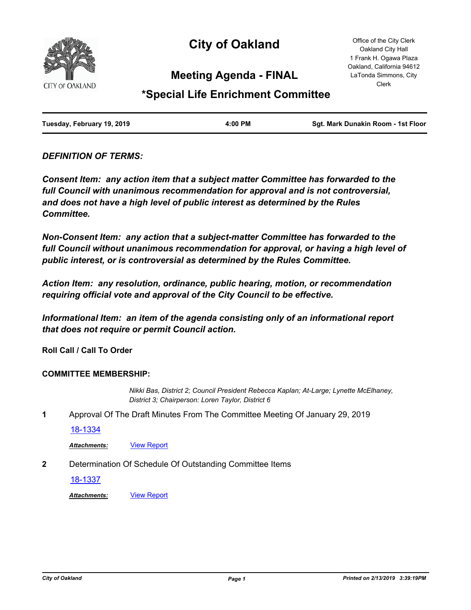

# **City of Oakland**

Office of the City Clerk Oakland City Hall 1 Frank H. Ogawa Plaza Oakland, California 94612 LaTonda Simmons, City Clerk

# **Meeting Agenda - FINAL**

# **\*Special Life Enrichment Committee**

| Tuesday, February 19, 2019 | 4:00 PM | Sgt. Mark Dunakin Room - 1st Floor |
|----------------------------|---------|------------------------------------|
|                            |         |                                    |

# *DEFINITION OF TERMS:*

*Consent Item: any action item that a subject matter Committee has forwarded to the full Council with unanimous recommendation for approval and is not controversial, and does not have a high level of public interest as determined by the Rules Committee.*

*Non-Consent Item: any action that a subject-matter Committee has forwarded to the*  full Council without unanimous recommendation for approval, or having a high level of *public interest, or is controversial as determined by the Rules Committee.*

*Action Item: any resolution, ordinance, public hearing, motion, or recommendation requiring official vote and approval of the City Council to be effective.*

*Informational Item: an item of the agenda consisting only of an informational report that does not require or permit Council action.*

**Roll Call / Call To Order**

#### **COMMITTEE MEMBERSHIP:**

*Nikki Bas, District 2; Council President Rebecca Kaplan; At-Large; Lynette McElhaney, District 3; Chairperson: Loren Taylor, District 6*

**1** Approval Of The Draft Minutes From The Committee Meeting Of January 29, 2019

[18-1334](http://oakland.legistar.com/gateway.aspx?m=l&id=/matter.aspx?key=29760)

Attachments: **[View Report](http://oakland.legistar.com/gateway.aspx?M=F&ID=0405fa39-8f51-4042-b6ab-6feeef51fdda.pdf)** 

**2** Determination Of Schedule Of Outstanding Committee Items

[18-1337](http://oakland.legistar.com/gateway.aspx?m=l&id=/matter.aspx?key=29763)

*Attachments:* [View Report](http://oakland.legistar.com/gateway.aspx?M=F&ID=cc8215b0-e8f2-4a45-b2da-3f3750decaeb.pdf)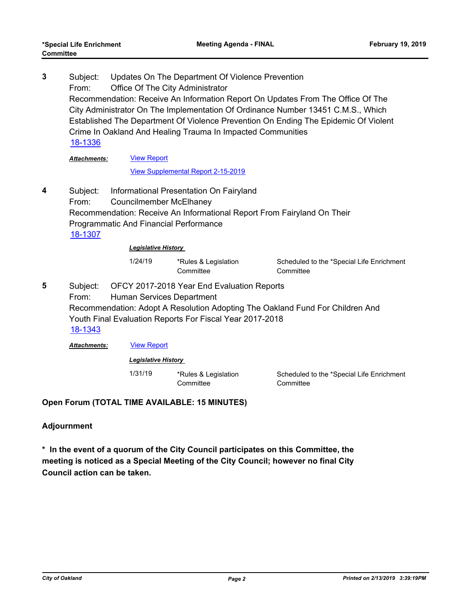Subject: Updates On The Department Of Violence Prevention From: Office Of The City Administrator Recommendation: Receive An Information Report On Updates From The Office Of The City Administrator On The Implementation Of Ordinance Number 13451 C.M.S., Which Established The Department Of Violence Prevention On Ending The Epidemic Of Violent Crime In Oakland And Healing Trauma In Impacted Communities **3** [18-1336](http://oakland.legistar.com/gateway.aspx?m=l&id=/matter.aspx?key=29762) [View Report](http://oakland.legistar.com/gateway.aspx?M=F&ID=54cb1486-0d45-4422-91f9-ec2847c51e1c.pdf) *Attachments:*

#### [View Supplemental Report 2-15-2019](http://oakland.legistar.com/gateway.aspx?M=F&ID=86393cb9-ad34-4006-bd29-c3d0fc51ad93.pdf)

Subject: Informational Presentation On Fairyland From: Councilmember McElhaney Recommendation: Receive An Informational Report From Fairyland On Their Programmatic And Financial Performance **4** [18-1307](http://oakland.legistar.com/gateway.aspx?m=l&id=/matter.aspx?key=29733)

*Legislative History* 

1/24/19 \*Rules & Legislation **Committee** 

Scheduled to the \*Special Life Enrichment **Committee** 

Subject: OFCY 2017-2018 Year End Evaluation Reports From: Human Services Department Recommendation: Adopt A Resolution Adopting The Oakland Fund For Children And Youth Final Evaluation Reports For Fiscal Year 2017-2018 **5** [18-1343](http://oakland.legistar.com/gateway.aspx?m=l&id=/matter.aspx?key=29769)

*Attachments:* [View Report](http://oakland.legistar.com/gateway.aspx?M=F&ID=ae2fa161-cf9e-4ebb-8c3a-a231ec5b0740.pdf)

*Legislative History* 

1/31/19 \*Rules & Legislation **Committee** 

Scheduled to the \*Special Life Enrichment **Committee** 

# **Open Forum (TOTAL TIME AVAILABLE: 15 MINUTES)**

# **Adjournment**

**Committee**

**\* In the event of a quorum of the City Council participates on this Committee, the meeting is noticed as a Special Meeting of the City Council; however no final City Council action can be taken.**